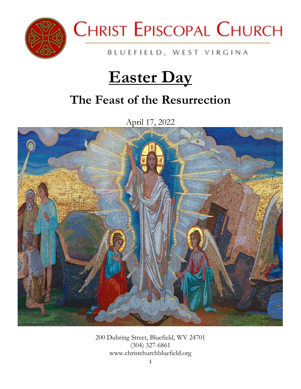

# **CHRIST EPISCOPAL CHURCH**

BLUEFIELD, WEST VIRGINA

# **Easter Day**

# **The Feast of the Resurrection**

April 17, 2022



200 Duhring Street, Bluefield, WV 24701 (304) 327-6861 www.christchurchbluefield.org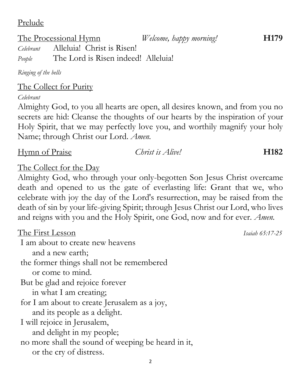2

Prelude

### The Processional Hymn *Welcome, happy morning!* **H179**

*Celebrant* Alleluia! Christ is Risen! *People* The Lord is Risen indeed! Alleluia!

*Ringing of the bells*

# The Collect for Purity

### *Celebrant*

Almighty God, to you all hearts are open, all desires known, and from you no secrets are hid: Cleanse the thoughts of our hearts by the inspiration of your Holy Spirit, that we may perfectly love you, and worthily magnify your holy Name; through Christ our Lord. *Amen.*

| Hymn of Praise |
|----------------|
|                |

# The Collect for the Day

Almighty God, who through your only-begotten Son Jesus Christ overcame death and opened to us the gate of everlasting life: Grant that we, who celebrate with joy the day of the Lord's resurrection, may be raised from the death of sin by your life-giving Spirit; through Jesus Christ our Lord, who lives and reigns with you and the Holy Spirit, one God, now and for ever. *Amen.*

# The First Lesson *Isaiah 65:17-25*

I am about to create new heavens and a new earth; the former things shall not be remembered or come to mind. But be glad and rejoice forever in what I am creating; for I am about to create Jerusalem as a joy, and its people as a delight. I will rejoice in Jerusalem, and delight in my people;

*Christ is Alive!* **H182** 

no more shall the sound of weeping be heard in it, or the cry of distress.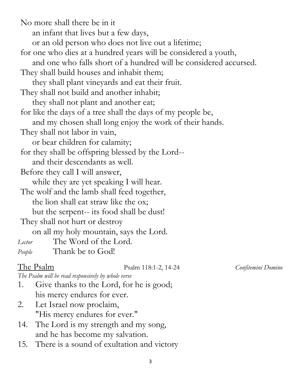No more shall there be in it an infant that lives but a few days, or an old person who does not live out a lifetime; for one who dies at a hundred years will be considered a youth, and one who falls short of a hundred will be considered accursed. They shall build houses and inhabit them; they shall plant vineyards and eat their fruit. They shall not build and another inhabit; they shall not plant and another eat; for like the days of a tree shall the days of my people be, and my chosen shall long enjoy the work of their hands. They shall not labor in vain, or bear children for calamity; for they shall be offspring blessed by the Lord- and their descendants as well. Before they call I will answer, while they are yet speaking I will hear. The wolf and the lamb shall feed together, the lion shall eat straw like the ox; but the serpent-- its food shall be dust! They shall not hurt or destroy on all my holy mountain, says the Lord. *Lector* The Word of the Lord. *People* Thank be to God! The Psalm Psalm 118:1-2, 14-24 *Confitemini Domino The Psalm will be read responsively by whole verse* 1. Give thanks to the Lord, for he is good; his mercy endures for ever. 2. Let Israel now proclaim, "His mercy endures for ever." 14. The Lord is my strength and my song, and he has become my salvation.

15. There is a sound of exultation and victory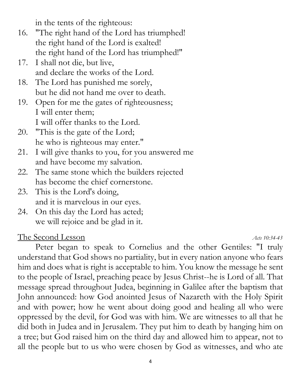in the tents of the righteous:

- 16. "The right hand of the Lord has triumphed! the right hand of the Lord is exalted! the right hand of the Lord has triumphed!"
- 17. I shall not die, but live, and declare the works of the Lord.
- 18. The Lord has punished me sorely, but he did not hand me over to death.
- 19. Open for me the gates of righteousness; I will enter them; I will offer thanks to the Lord.
- 20. "This is the gate of the Lord; he who is righteous may enter."
- 21. I will give thanks to you, for you answered me and have become my salvation.
- 22. The same stone which the builders rejected has become the chief cornerstone.
- 23. This is the Lord's doing, and it is marvelous in our eyes.
- 24. On this day the Lord has acted; we will rejoice and be glad in it.

### The Second Lesson*Acts 10:34-43*

Peter began to speak to Cornelius and the other Gentiles: "I truly understand that God shows no partiality, but in every nation anyone who fears him and does what is right is acceptable to him. You know the message he sent to the people of Israel, preaching peace by Jesus Christ--he is Lord of all. That message spread throughout Judea, beginning in Galilee after the baptism that John announced: how God anointed Jesus of Nazareth with the Holy Spirit and with power; how he went about doing good and healing all who were oppressed by the devil, for God was with him. We are witnesses to all that he did both in Judea and in Jerusalem. They put him to death by hanging him on a tree; but God raised him on the third day and allowed him to appear, not to all the people but to us who were chosen by God as witnesses, and who ate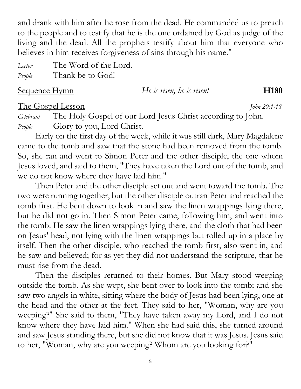and drank with him after he rose from the dead. He commanded us to preach to the people and to testify that he is the one ordained by God as judge of the living and the dead. All the prophets testify about him that everyone who believes in him receives forgiveness of sins through his name."

| Lector | The Word of the Lord. |
|--------|-----------------------|
| People | Thank be to God!      |

Sequence Hymn *He is risen, he is risen!* **H180**

#### The Gospel Lesson *John 20:1-18*

*Celebrant* The Holy Gospel of our Lord Jesus Christ according to John. *People* Glory to you, Lord Christ.

Early on the first day of the week, while it was still dark, Mary Magdalene came to the tomb and saw that the stone had been removed from the tomb. So, she ran and went to Simon Peter and the other disciple, the one whom Jesus loved, and said to them, "They have taken the Lord out of the tomb, and we do not know where they have laid him."

Then Peter and the other disciple set out and went toward the tomb. The two were running together, but the other disciple outran Peter and reached the tomb first. He bent down to look in and saw the linen wrappings lying there, but he did not go in. Then Simon Peter came, following him, and went into the tomb. He saw the linen wrappings lying there, and the cloth that had been on Jesus' head, not lying with the linen wrappings but rolled up in a place by itself. Then the other disciple, who reached the tomb first, also went in, and he saw and believed; for as yet they did not understand the scripture, that he must rise from the dead.

Then the disciples returned to their homes. But Mary stood weeping outside the tomb. As she wept, she bent over to look into the tomb; and she saw two angels in white, sitting where the body of Jesus had been lying, one at the head and the other at the feet. They said to her, "Woman, why are you weeping?" She said to them, "They have taken away my Lord, and I do not know where they have laid him." When she had said this, she turned around and saw Jesus standing there, but she did not know that it was Jesus. Jesus said to her, "Woman, why are you weeping? Whom are you looking for?"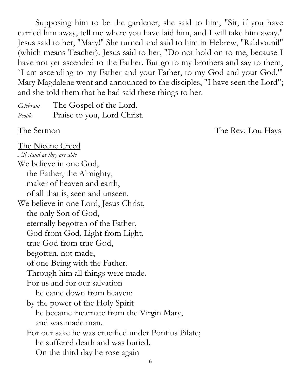Supposing him to be the gardener, she said to him, "Sir, if you have carried him away, tell me where you have laid him, and I will take him away." Jesus said to her, "Mary!" She turned and said to him in Hebrew, "Rabbouni!" (which means Teacher). Jesus said to her, "Do not hold on to me, because I have not yet ascended to the Father. But go to my brothers and say to them, `I am ascending to my Father and your Father, to my God and your God.'" Mary Magdalene went and announced to the disciples, "I have seen the Lord"; and she told them that he had said these things to her.

*Celebrant* The Gospel of the Lord. *People* Praise to you, Lord Christ.

The Sermon The Rev. Lou Hays

The Nicene Creed *All stand as they are able*  We believe in one God, the Father, the Almighty, maker of heaven and earth, of all that is, seen and unseen. We believe in one Lord, Jesus Christ, the only Son of God, eternally begotten of the Father, God from God, Light from Light, true God from true God, begotten, not made, of one Being with the Father. Through him all things were made. For us and for our salvation he came down from heaven: by the power of the Holy Spirit he became incarnate from the Virgin Mary, and was made man. For our sake he was crucified under Pontius Pilate; he suffered death and was buried. On the third day he rose again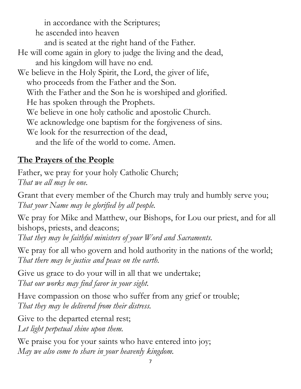in accordance with the Scriptures; he ascended into heaven and is seated at the right hand of the Father. He will come again in glory to judge the living and the dead, and his kingdom will have no end. We believe in the Holy Spirit, the Lord, the giver of life, who proceeds from the Father and the Son. With the Father and the Son he is worshiped and glorified. He has spoken through the Prophets. We believe in one holy catholic and apostolic Church. We acknowledge one baptism for the forgiveness of sins. We look for the resurrection of the dead, and the life of the world to come. Amen.

# **The Prayers of the People**

Father, we pray for your holy Catholic Church; *That we all may be one.*

Grant that every member of the Church may truly and humbly serve you; *That your Name may be glorified by all people.*

We pray for Mike and Matthew, our Bishops, for Lou our priest, and for all bishops, priests, and deacons;

*That they may be faithful ministers of your Word and Sacraments.*

We pray for all who govern and hold authority in the nations of the world; *That there may be justice and peace on the earth.*

Give us grace to do your will in all that we undertake; *That our works may find favor in your sight.*

Have compassion on those who suffer from any grief or trouble; *That they may be delivered from their distress.*

Give to the departed eternal rest; *Let light perpetual shine upon them.*

We praise you for your saints who have entered into joy; *May we also come to share in your heavenly kingdom.*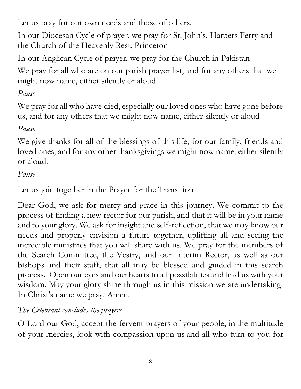Let us pray for our own needs and those of others.

In our Diocesan Cycle of prayer, we pray for St. John's, Harpers Ferry and the Church of the Heavenly Rest, Princeton

In our Anglican Cycle of prayer, we pray for the Church in Pakistan

We pray for all who are on our parish prayer list, and for any others that we might now name, either silently or aloud

*Pause*

We pray for all who have died, especially our loved ones who have gone before us, and for any others that we might now name, either silently or aloud

# *Pause*

We give thanks for all of the blessings of this life, for our family, friends and loved ones, and for any other thanksgivings we might now name, either silently or aloud.

# *Pause*

Let us join together in the Prayer for the Transition

Dear God, we ask for mercy and grace in this journey. We commit to the process of finding a new rector for our parish, and that it will be in your name and to your glory. We ask for insight and self-reflection, that we may know our needs and properly envision a future together, uplifting all and seeing the incredible ministries that you will share with us. We pray for the members of the Search Committee, the Vestry, and our Interim Rector, as well as our bishops and their staff, that all may be blessed and guided in this search process. Open our eyes and our hearts to all possibilities and lead us with your wisdom. May your glory shine through us in this mission we are undertaking. In Christ's name we pray. Amen.

# *The Celebrant concludes the prayers*

O Lord our God, accept the fervent prayers of your people; in the multitude of your mercies, look with compassion upon us and all who turn to you for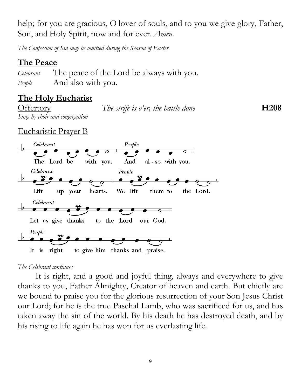help; for you are gracious, O lover of souls, and to you we give glory, Father, Son, and Holy Spirit, now and for ever. *Amen.*

*The Confession of Sin may be omitted during the Season of Easter*

### **The Peace**

*Celebrant* The peace of the Lord be always with you. *People* And also with you.

### **The Holy Eucharist**

*Sung by choir and congregation*

Offertory *The strife is o'er, the battle done* **H208**

Eucharistic Prayer B



#### *The Celebrant continues*

It is right, and a good and joyful thing, always and everywhere to give thanks to you, Father Almighty, Creator of heaven and earth. But chiefly are we bound to praise you for the glorious resurrection of your Son Jesus Christ our Lord; for he is the true Paschal Lamb, who was sacrificed for us, and has taken away the sin of the world. By his death he has destroyed death, and by his rising to life again he has won for us everlasting life.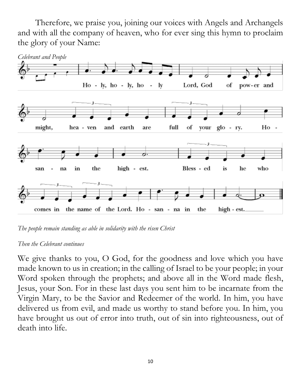Therefore, we praise you, joining our voices with Angels and Archangels and with all the company of heaven, who for ever sing this hymn to proclaim the glory of your Name:



*The people remain standing as able in solidarity with the risen Christ*

#### *Then the Celebrant continues*

We give thanks to you, O God, for the goodness and love which you have made known to us in creation; in the calling of Israel to be your people; in your Word spoken through the prophets; and above all in the Word made flesh, Jesus, your Son. For in these last days you sent him to be incarnate from the Virgin Mary, to be the Savior and Redeemer of the world. In him, you have delivered us from evil, and made us worthy to stand before you. In him, you have brought us out of error into truth, out of sin into righteousness, out of death into life.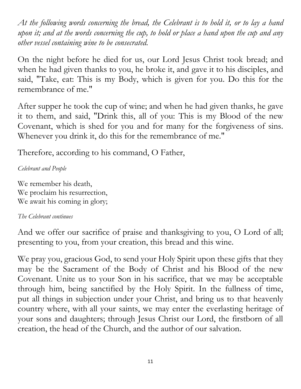*At the following words concerning the bread, the Celebrant is to hold it, or to lay a hand upon it; and at the words concerning the cup, to hold or place a hand upon the cup and any other vessel containing wine to be consecrated.*

On the night before he died for us, our Lord Jesus Christ took bread; and when he had given thanks to you, he broke it, and gave it to his disciples, and said, "Take, eat: This is my Body, which is given for you. Do this for the remembrance of me."

After supper he took the cup of wine; and when he had given thanks, he gave it to them, and said, "Drink this, all of you: This is my Blood of the new Covenant, which is shed for you and for many for the forgiveness of sins. Whenever you drink it, do this for the remembrance of me."

Therefore, according to his command, O Father,

#### *Celebrant and People*

We remember his death, We proclaim his resurrection, We await his coming in glory;

#### *The Celebrant continues*

And we offer our sacrifice of praise and thanksgiving to you, O Lord of all; presenting to you, from your creation, this bread and this wine.

We pray you, gracious God, to send your Holy Spirit upon these gifts that they may be the Sacrament of the Body of Christ and his Blood of the new Covenant. Unite us to your Son in his sacrifice, that we may be acceptable through him, being sanctified by the Holy Spirit. In the fullness of time, put all things in subjection under your Christ, and bring us to that heavenly country where, with all your saints, we may enter the everlasting heritage of your sons and daughters; through Jesus Christ our Lord, the firstborn of all creation, the head of the Church, and the author of our salvation.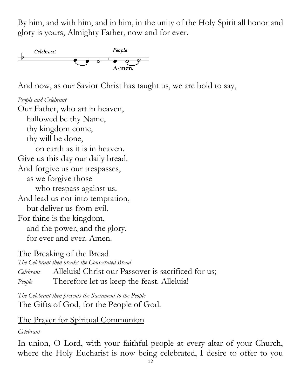By him, and with him, and in him, in the unity of the Holy Spirit all honor and glory is yours, Almighty Father, now and for ever.



And now, as our Savior Christ has taught us, we are bold to say,

#### *People and Celebrant*

Our Father, who art in heaven, hallowed be thy Name, thy kingdom come, thy will be done, on earth as it is in heaven. Give us this day our daily bread. And forgive us our trespasses, as we forgive those who trespass against us. And lead us not into temptation, but deliver us from evil. For thine is the kingdom, and the power, and the glory, for ever and ever. Amen.

#### The Breaking of the Bread

*The Celebrant then breaks the Consecrated Bread Celebrant* Alleluia! Christ our Passover is sacrificed for us; *People* Therefore let us keep the feast. Alleluia!

*The Celebrant then presents the Sacrament to the People* The Gifts of God, for the People of God.

### The Prayer for Spiritual Communion

#### *Celebrant*

In union, O Lord, with your faithful people at every altar of your Church, where the Holy Eucharist is now being celebrated, I desire to offer to you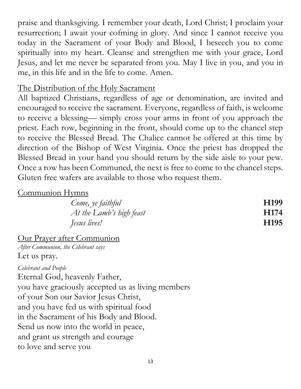praise and thanksgiving. I remember your death, Lord Christ; I proclaim your resurrection; I await your cofming in glory. And since I cannot receive you today in the Sacrament of your Body and Blood, I beseech you to come spiritually into my heart. Cleanse and strengthen me with your grace, Lord Jesus, and let me never be separated from you. May I live in you, and you in me, in this life and in the life to come. Amen.

#### The Distribution of the Holy Sacrament

All baptized Christians, regardless of age or denomination, are invited and encouraged to receive the sacrament. Everyone, regardless of faith, is welcome to receive a blessing— simply cross your arms in front of you approach the priest. Each row, beginning in the front, should come up to the chancel step to receive the Blessed Bread. The Chalice cannot be offered at this time by direction of the Bishop of West Virginia. Once the priest has dropped the Blessed Bread in your hand you should return by the side aisle to your pew. Once a row has been Communed, the next is free to come to the chancel steps. Gluten free wafers are available to those who request them.

### Communion Hymns

| Come, ye faithful        | H <sub>199</sub> |
|--------------------------|------------------|
| At the Lamb's high feast | <b>H174</b>      |
| Jesus lives!             | H <sub>195</sub> |

# Our Prayer after Communion

*After Communion, the Celebrant says* Let us pray.

*Celebrant and People* Eternal God, heavenly Father, you have graciously accepted us as living members of your Son our Savior Jesus Christ, and you have fed us with spiritual food in the Sacrament of his Body and Blood. Send us now into the world in peace, and grant us strength and courage to love and serve you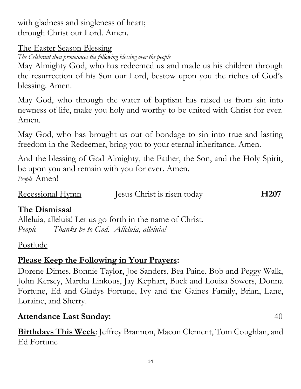with gladness and singleness of heart; through Christ our Lord. Amen.

### The Easter Season Blessing

*The Celebrant then pronounces the following blessing over the people*

May Almighty God, who has redeemed us and made us his children through the resurrection of his Son our Lord, bestow upon you the riches of God's blessing. Amen.

May God, who through the water of baptism has raised us from sin into newness of life, make you holy and worthy to be united with Christ for ever. Amen.

May God, who has brought us out of bondage to sin into true and lasting freedom in the Redeemer, bring you to your eternal inheritance. Amen.

And the blessing of God Almighty, the Father, the Son, and the Holy Spirit, be upon you and remain with you for ever. Amen. *People* Amen!

| Recessional Hymn | Jesus Christ is risen today | H <sub>207</sub> |
|------------------|-----------------------------|------------------|
|                  |                             |                  |

# **The Dismissal**

Alleluia, alleluia! Let us go forth in the name of Christ. *People Thanks be to God. Alleluia, alleluia!*

# Postlude

# **Please Keep the Following in Your Prayers:**

Dorene Dimes, Bonnie Taylor, Joe Sanders, Bea Paine, Bob and Peggy Walk, John Kersey, Martha Linkous, Jay Kephart, Buck and Louisa Sowers, Donna Fortune, Ed and Gladys Fortune, Ivy and the Gaines Family, Brian, Lane, Loraine, and Sherry.

# **Attendance Last Sunday:** 40

**Birthdays This Week**: Jeffrey Brannon, Macon Clement, Tom Coughlan, and Ed Fortune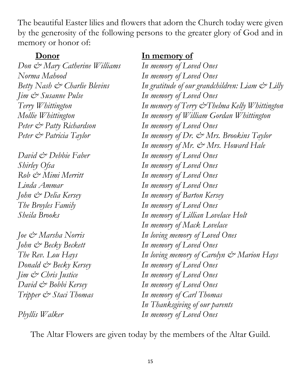The beautiful Easter lilies and flowers that adorn the Church today were given by the generosity of the following persons to the greater glory of God and in memory or honor of:

*Don & Mary Catherine Williams In memory of Loved Ones Norma Mahood In memory of Loved Ones Jim & Susanne Pulse In memory of Loved Ones Peter & Patty Richardson In memory of Loved Ones*

# **Donor In memory of**

*Betty Nash & Charlie Blevins In gratitude of our grandchildren: Liam & Lilly Terry Whittington In memory of Terry &Thelma Kelly Whittington Mollie Whittington In memory of William Gordan Whittington Peter & Patricia Taylor In memory of Dr. & Mrs. Brookins Taylor In memory of Mr.*  $\mathcal{L}$  *Mrs. Howard Hale David & Debbie Faber In memory of Loved Ones Shirley Ofsa In memory of Loved Ones Rob & Mimi Merritt In memory of Loved Ones Linda Ammar In memory of Loved Ones John & Delia Kersey In memory of Barton Kersey The Broyles Family In memory of Loved Ones Sheila Brooks In memory of Lillian Lovelace Holt In memory of Mack Lovelace Joe & Marsha Norris In loving memory of Loved Ones John & Becky Beckett In memory of Loved Ones The Rev. Lou Hays In loving memory of Carolyn & Marion Hays Donald & Becky Kersey In memory of Loved Ones Jim & Chris Justice In memory of Loved Ones David & Bobbi Kersey In memory of Loved Ones Tripper & Staci Thomas In memory of Carl Thomas In Thanksgiving of our parents Phyllis Walker In memory of Loved Ones*

The Altar Flowers are given today by the members of the Altar Guild.